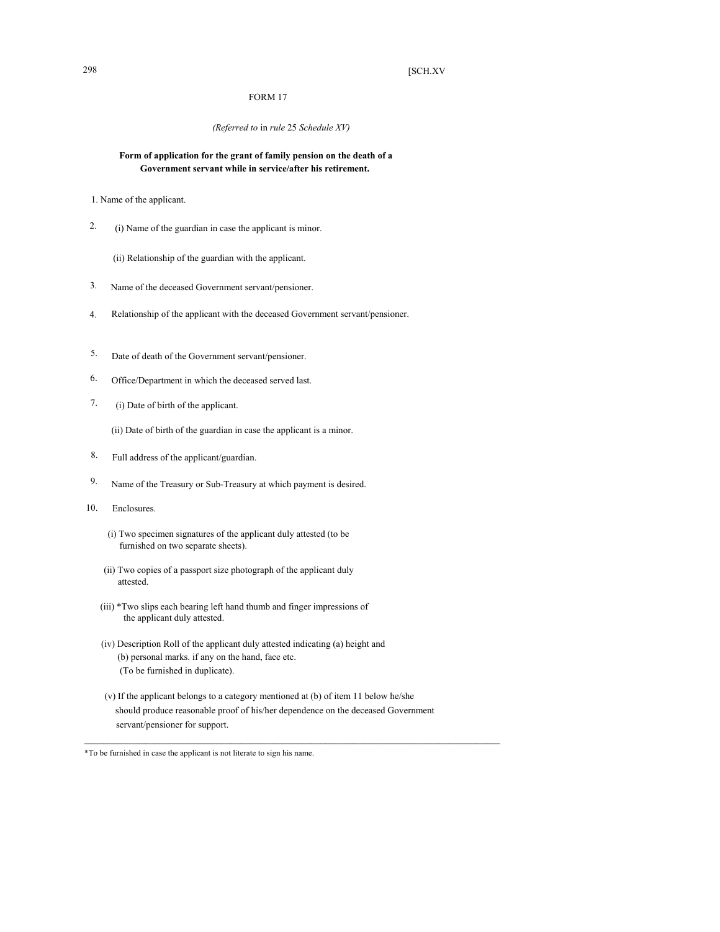## 298 [SCH.XV

## FORM 17

## *(Referred to* in *rule* 25 *Schedule XV)*

## **Form of application for the grant of family pension on the death of a Government servant while in service/after his retirement.**

1. Name of the applicant.

2. (i) Name of the guardian in case the applicant is minor.

(ii) Relationship of the guardian with the applicant.

- 3. Name of the deceased Government servant/pensioner.
- 4. Relationship of the applicant with the deceased Government servant/pensioner.
- 5. Date of death of the Government servant/pensioner.
- 6. Office/Department in which the deceased served last.
- 7. (i) Date of birth of the applicant.

(ii) Date of birth of the guardian in case the applicant is a minor.

- 8. Full address of the applicant/guardian.
- 9. Name of the Treasury or Sub-Treasury at which payment is desired.
- 10. Enclosures.
	- (i) Two specimen signatures of the applicant duly attested (to be furnished on two separate sheets).
	- (ii) Two copies of a passport size photograph of the applicant duly attested.
	- (iii) \*Two slips each bearing left hand thumb and finger impressions of the applicant duly attested.
	- (iv) Description Roll of the applicant duly attested indicating (a) height and (b) personal marks. if any on the hand, face etc. (To be furnished in duplicate).
	- (v) If the applicant belongs to a category mentioned at (b) of item 11 below he/she should produce reasonable proof of his/her dependence on the deceased Government servant/pensioner for support.

 $\_$  , and the set of the set of the set of the set of the set of the set of the set of the set of the set of the set of the set of the set of the set of the set of the set of the set of the set of the set of the set of th

\*To be furnished in case the applicant is not literate to sign his name.